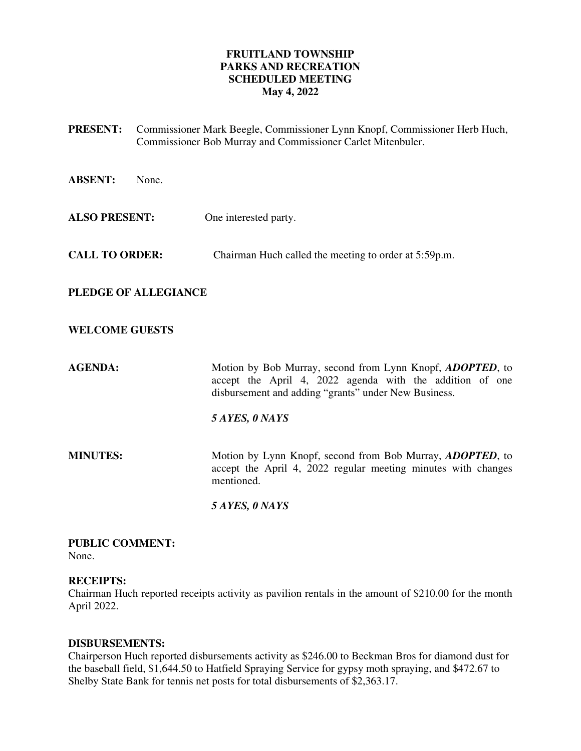# **FRUITLAND TOWNSHIP PARKS AND RECREATION SCHEDULED MEETING May 4, 2022**

- **PRESENT:** Commissioner Mark Beegle, Commissioner Lynn Knopf, Commissioner Herb Huch, Commissioner Bob Murray and Commissioner Carlet Mitenbuler.
- **ABSENT:** None.
- **ALSO PRESENT:** One interested party.
- **CALL TO ORDER:** Chairman Huch called the meeting to order at 5:59p.m.

# **PLEDGE OF ALLEGIANCE**

# **WELCOME GUESTS**

**AGENDA:** Motion by Bob Murray, second from Lynn Knopf, *ADOPTED*, to accept the April 4, 2022 agenda with the addition of one disbursement and adding "grants" under New Business.

### *5 AYES, 0 NAYS*

**MINUTES:** Motion by Lynn Knopf, second from Bob Murray, *ADOPTED*, to accept the April 4, 2022 regular meeting minutes with changes mentioned.

 *5 AYES, 0 NAYS* 

#### **PUBLIC COMMENT:**  None.

# **RECEIPTS:**

Chairman Huch reported receipts activity as pavilion rentals in the amount of \$210.00 for the month April 2022.

# **DISBURSEMENTS:**

Chairperson Huch reported disbursements activity as \$246.00 to Beckman Bros for diamond dust for the baseball field, \$1,644.50 to Hatfield Spraying Service for gypsy moth spraying, and \$472.67 to Shelby State Bank for tennis net posts for total disbursements of \$2,363.17.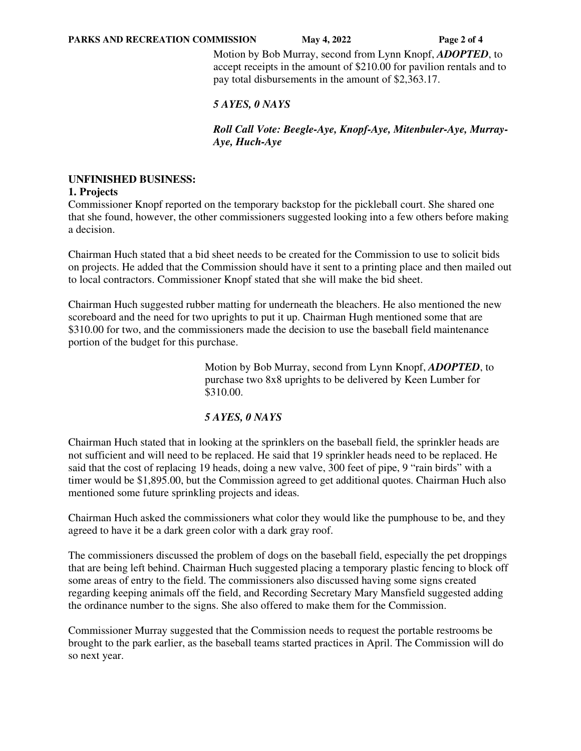Motion by Bob Murray, second from Lynn Knopf, *ADOPTED*, to accept receipts in the amount of \$210.00 for pavilion rentals and to pay total disbursements in the amount of \$2,363.17.

# *5 AYES, 0 NAYS*

*Roll Call Vote: Beegle-Aye, Knopf-Aye, Mitenbuler-Aye, Murray-Aye, Huch-Aye* 

# **UNFINISHED BUSINESS:**

### **1. Projects**

Commissioner Knopf reported on the temporary backstop for the pickleball court. She shared one that she found, however, the other commissioners suggested looking into a few others before making a decision.

Chairman Huch stated that a bid sheet needs to be created for the Commission to use to solicit bids on projects. He added that the Commission should have it sent to a printing place and then mailed out to local contractors. Commissioner Knopf stated that she will make the bid sheet.

Chairman Huch suggested rubber matting for underneath the bleachers. He also mentioned the new scoreboard and the need for two uprights to put it up. Chairman Hugh mentioned some that are \$310.00 for two, and the commissioners made the decision to use the baseball field maintenance portion of the budget for this purchase.

> Motion by Bob Murray, second from Lynn Knopf, *ADOPTED*, to purchase two 8x8 uprights to be delivered by Keen Lumber for \$310.00.

# *5 AYES, 0 NAYS*

Chairman Huch stated that in looking at the sprinklers on the baseball field, the sprinkler heads are not sufficient and will need to be replaced. He said that 19 sprinkler heads need to be replaced. He said that the cost of replacing 19 heads, doing a new valve, 300 feet of pipe, 9 "rain birds" with a timer would be \$1,895.00, but the Commission agreed to get additional quotes. Chairman Huch also mentioned some future sprinkling projects and ideas.

Chairman Huch asked the commissioners what color they would like the pumphouse to be, and they agreed to have it be a dark green color with a dark gray roof.

The commissioners discussed the problem of dogs on the baseball field, especially the pet droppings that are being left behind. Chairman Huch suggested placing a temporary plastic fencing to block off some areas of entry to the field. The commissioners also discussed having some signs created regarding keeping animals off the field, and Recording Secretary Mary Mansfield suggested adding the ordinance number to the signs. She also offered to make them for the Commission.

Commissioner Murray suggested that the Commission needs to request the portable restrooms be brought to the park earlier, as the baseball teams started practices in April. The Commission will do so next year.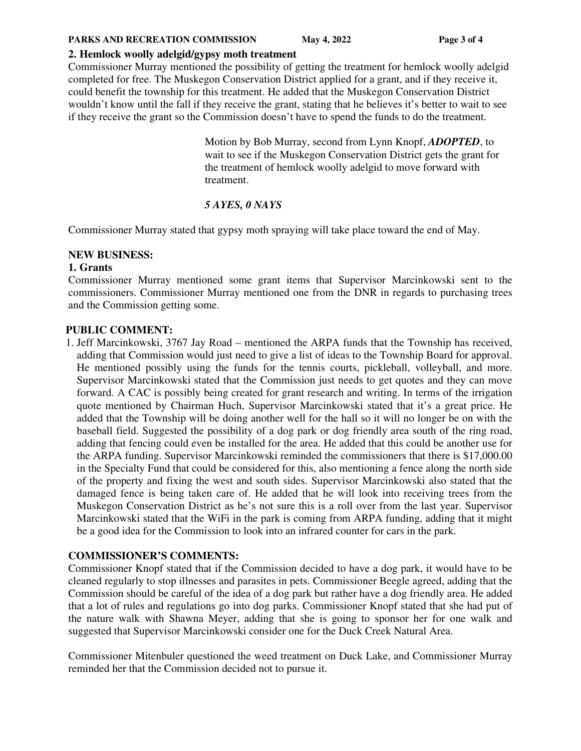#### **PARKS AND RECREATION COMMISSION** May 4, 2022 **Page 3 of 4**

## **2. Hemlock woolly adelgid/gypsy moth treatment**

Commissioner Murray mentioned the possibility of getting the treatment for hemlock woolly adelgid completed for free. The Muskegon Conservation District applied for a grant, and if they receive it, could benefit the township for this treatment. He added that the Muskegon Conservation District wouldn't know until the fall if they receive the grant, stating that he believes it's better to wait to see if they receive the grant so the Commission doesn't have to spend the funds to do the treatment.

> Motion by Bob Murray, second from Lynn Knopf, *ADOPTED*, to wait to see if the Muskegon Conservation District gets the grant for the treatment of hemlock woolly adelgid to move forward with treatment.

# *5 AYES, 0 NAYS*

Commissioner Murray stated that gypsy moth spraying will take place toward the end of May.

### **NEW BUSINESS:**

### **1. Grants**

Commissioner Murray mentioned some grant items that Supervisor Marcinkowski sent to the commissioners. Commissioner Murray mentioned one from the DNR in regards to purchasing trees and the Commission getting some.

### **PUBLIC COMMENT:**

1. Jeff Marcinkowski, 3767 Jay Road – mentioned the ARPA funds that the Township has received, adding that Commission would just need to give a list of ideas to the Township Board for approval. He mentioned possibly using the funds for the tennis courts, pickleball, volleyball, and more. Supervisor Marcinkowski stated that the Commission just needs to get quotes and they can move forward. A CAC is possibly being created for grant research and writing. In terms of the irrigation quote mentioned by Chairman Huch, Supervisor Marcinkowski stated that it's a great price. He added that the Township will be doing another well for the hall so it will no longer be on with the baseball field. Suggested the possibility of a dog park or dog friendly area south of the ring road, adding that fencing could even be installed for the area. He added that this could be another use for the ARPA funding. Supervisor Marcinkowski reminded the commissioners that there is \$17,000.00 in the Specialty Fund that could be considered for this, also mentioning a fence along the north side of the property and fixing the west and south sides. Supervisor Marcinkowski also stated that the damaged fence is being taken care of. He added that he will look into receiving trees from the Muskegon Conservation District as he's not sure this is a roll over from the last year. Supervisor Marcinkowski stated that the WiFi in the park is coming from ARPA funding, adding that it might be a good idea for the Commission to look into an infrared counter for cars in the park.

# **COMMISSIONER'S COMMENTS:**

Commissioner Knopf stated that if the Commission decided to have a dog park, it would have to be cleaned regularly to stop illnesses and parasites in pets. Commissioner Beegle agreed, adding that the Commission should be careful of the idea of a dog park but rather have a dog friendly area. He added that a lot of rules and regulations go into dog parks. Commissioner Knopf stated that she had put of the nature walk with Shawna Meyer, adding that she is going to sponsor her for one walk and suggested that Supervisor Marcinkowski consider one for the Duck Creek Natural Area.

Commissioner Mitenbuler questioned the weed treatment on Duck Lake, and Commissioner Murray reminded her that the Commission decided not to pursue it.